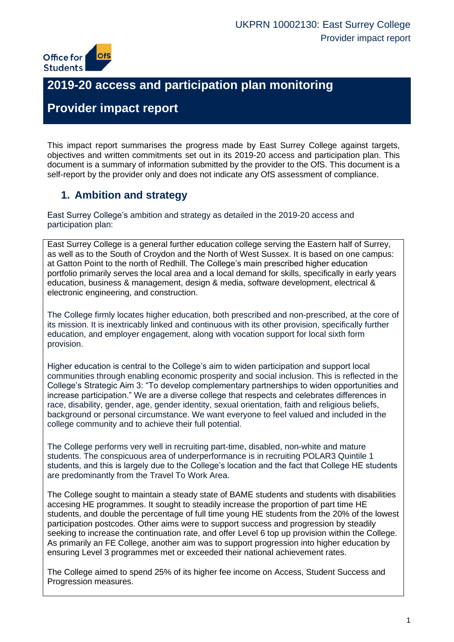

# **2019-20 access and participation plan monitoring**

# **Provider impact report**

This impact report summarises the progress made by East Surrey College against targets, objectives and written commitments set out in its 2019-20 access and participation plan. This document is a summary of information submitted by the provider to the OfS. This document is a self-report by the provider only and does not indicate any OfS assessment of compliance.

## **1. Ambition and strategy**

East Surrey College's ambition and strategy as detailed in the 2019-20 access and participation plan:

East Surrey College is a general further education college serving the Eastern half of Surrey, as well as to the South of Croydon and the North of West Sussex. It is based on one campus: at Gatton Point to the north of Redhill. The College's main prescribed higher education portfolio primarily serves the local area and a local demand for skills, specifically in early years education, business & management, design & media, software development, electrical & electronic engineering, and construction.

The College firmly locates higher education, both prescribed and non-prescribed, at the core of its mission. It is inextricably linked and continuous with its other provision, specifically further education, and employer engagement, along with vocation support for local sixth form provision.

Higher education is central to the College's aim to widen participation and support local communities through enabling economic prosperity and social inclusion. This is reflected in the College's Strategic Aim 3: "To develop complementary partnerships to widen opportunities and increase participation." We are a diverse college that respects and celebrates differences in race, disability, gender, age, gender identity, sexual orientation, faith and religious beliefs, background or personal circumstance. We want everyone to feel valued and included in the college community and to achieve their full potential.

The College performs very well in recruiting part-time, disabled, non-white and mature students. The conspicuous area of underperformance is in recruiting POLAR3 Quintile 1 students, and this is largely due to the College's location and the fact that College HE students are predominantly from the Travel To Work Area.

The College sought to maintain a steady state of BAME students and students with disabilities accesing HE programmes. It sought to steadily increase the proportion of part time HE students, and double the percentage of full time young HE students from the 20% of the lowest participation postcodes. Other aims were to support success and progression by steadily seeking to increase the continuation rate, and offer Level 6 top up provision within the College. As primarily an FE College, another aim was to support progression into higher education by ensuring Level 3 programmes met or exceeded their national achievement rates.

The College aimed to spend 25% of its higher fee income on Access, Student Success and Progression measures.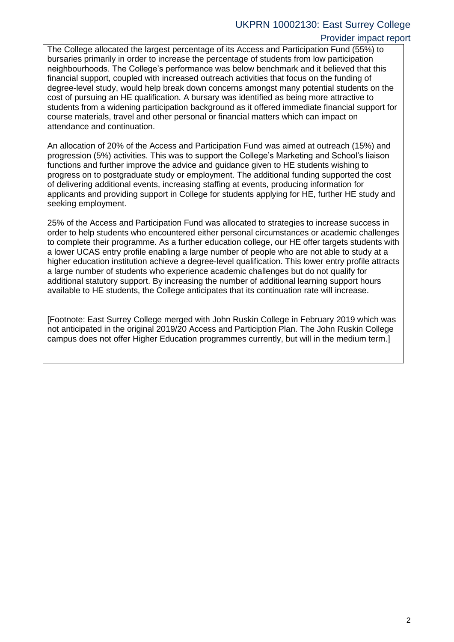#### UKPRN 10002130: East Surrey College

#### Provider impact report

The College allocated the largest percentage of its Access and Participation Fund (55%) to bursaries primarily in order to increase the percentage of students from low participation neighbourhoods. The College's performance was below benchmark and it believed that this financial support, coupled with increased outreach activities that focus on the funding of degree-level study, would help break down concerns amongst many potential students on the cost of pursuing an HE qualification. A bursary was identified as being more attractive to students from a widening participation background as it offered immediate financial support for course materials, travel and other personal or financial matters which can impact on attendance and continuation.

An allocation of 20% of the Access and Participation Fund was aimed at outreach (15%) and progression (5%) activities. This was to support the College's Marketing and School's liaison functions and further improve the advice and guidance given to HE students wishing to progress on to postgraduate study or employment. The additional funding supported the cost of delivering additional events, increasing staffing at events, producing information for applicants and providing support in College for students applying for HE, further HE study and seeking employment.

25% of the Access and Participation Fund was allocated to strategies to increase success in order to help students who encountered either personal circumstances or academic challenges to complete their programme. As a further education college, our HE offer targets students with a lower UCAS entry profile enabling a large number of people who are not able to study at a higher education institution achieve a degree-level qualification. This lower entry profile attracts a large number of students who experience academic challenges but do not qualify for additional statutory support. By increasing the number of additional learning support hours available to HE students, the College anticipates that its continuation rate will increase.

[Footnote: East Surrey College merged with John Ruskin College in February 2019 which was not anticipated in the original 2019/20 Access and Particiption Plan. The John Ruskin College campus does not offer Higher Education programmes currently, but will in the medium term.]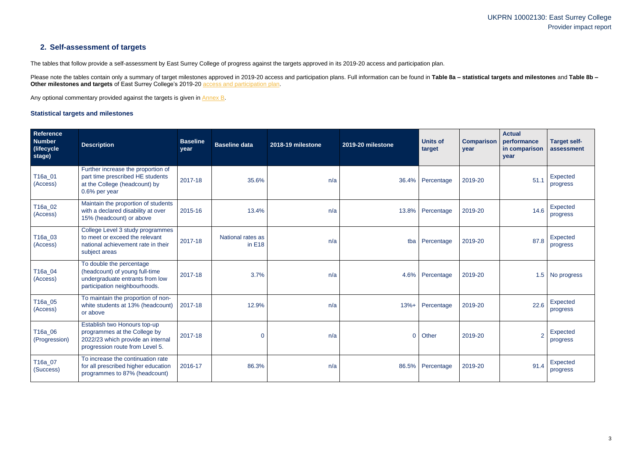## UKPRN 10002130: East Surrey College Provider impact report

## **2. Self-assessment of targets**

The tables that follow provide a self-assessment by East Surrey College of progress against the targets approved in its 2019-20 access and participation plan.

Please note the tables contain only a summary of target milestones approved in 2019-20 access and participation plans. Full information can be found in Table 8a - statistical targets and milestones and Table 8b -**Other milestones and targets** of East Surrey College's 2019-20 [access and participation plan.](https://www.officeforstudents.org.uk/advice-and-guidance/the-register/search-for-access-and-participation-plans/#/AccessPlans/)

Any optional commentary provided against the targets is given in [Annex B.](#page-8-0)

#### <span id="page-2-0"></span>**Statistical targets and milestones**

| <b>Reference</b><br><b>Number</b><br>(lifecycle)<br>stage) | <b>Description</b>                                                                                                                   | <b>Baseline</b><br>year | <b>Baseline data</b>          | 2018-19 milestone | 2019-20 milestone | <b>Units of</b><br>target | <b>Comparison</b><br>year | <b>Actual</b><br>performance<br>in comparison<br>year | <b>Target self-</b><br>assessment |
|------------------------------------------------------------|--------------------------------------------------------------------------------------------------------------------------------------|-------------------------|-------------------------------|-------------------|-------------------|---------------------------|---------------------------|-------------------------------------------------------|-----------------------------------|
| T16a_01<br>(Access)                                        | Further increase the proportion of<br>part time prescribed HE students<br>at the College (headcount) by<br>0.6% per year             | 2017-18                 | 35.6%                         | n/a               |                   | 36.4% Percentage          | 2019-20                   | 51.1                                                  | Expected<br>progress              |
| T16a_02<br>(Access)                                        | Maintain the proportion of students<br>with a declared disability at over<br>15% (headcount) or above                                | 2015-16                 | 13.4%                         | n/a               |                   | 13.8% Percentage          | 2019-20                   | 14.6                                                  | Expected<br>progress              |
| T16a_03<br>(Access)                                        | College Level 3 study programmes<br>to meet or exceed the relevant<br>national achievement rate in their<br>subject areas            | 2017-18                 | National rates as<br>in $E18$ | n/a               | tba               | Percentage                | 2019-20                   | 87.8                                                  | Expected<br>progress              |
| T16a_04<br>(Access)                                        | To double the percentage<br>(headcount) of young full-time<br>undergraduate entrants from low<br>participation neighbourhoods.       | 2017-18                 | 3.7%                          | n/a               | 4.6%              | Percentage                | 2019-20                   |                                                       | 1.5 No progress                   |
| T16a_05<br>(Access)                                        | To maintain the proportion of non-<br>white students at 13% (headcount)<br>or above                                                  | 2017-18                 | 12.9%                         | n/a               | $13% +$           | Percentage                | 2019-20                   | 22.6                                                  | Expected<br>progress              |
| T16a_06<br>(Progression)                                   | Establish two Honours top-up<br>programmes at the College by<br>2022/23 which provide an internal<br>progression route from Level 5. | 2017-18                 | $\overline{0}$                | n/a               | $\overline{0}$    | Other                     | 2019-20                   | $\overline{2}$                                        | Expected<br>progress              |
| T16a_07<br>(Success)                                       | To increase the continuation rate<br>for all prescribed higher education<br>programmes to 87% (headcount)                            | 2016-17                 | 86.3%                         | n/a               | 86.5%             | Percentage                | 2019-20                   | 91.4                                                  | Expected<br>progress              |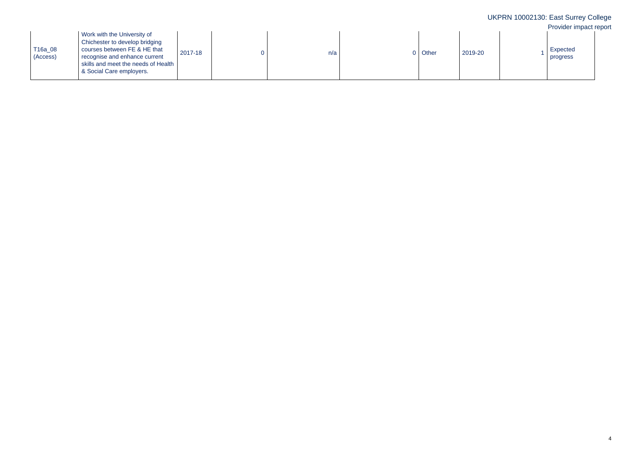|                     |                                                                                                                                                                                                     |         |     |         |         | UKPRN 10002130: East Surrey College<br>Provider impact report |
|---------------------|-----------------------------------------------------------------------------------------------------------------------------------------------------------------------------------------------------|---------|-----|---------|---------|---------------------------------------------------------------|
| T16a_08<br>(Access) | Work with the University of<br>Chichester to develop bridging<br>courses between FE & HE that<br>recognise and enhance current<br>skills and meet the needs of Health  <br>& Social Care employers. | 2017-18 | n/a | 0 Other | 2019-20 | Expected<br>progress                                          |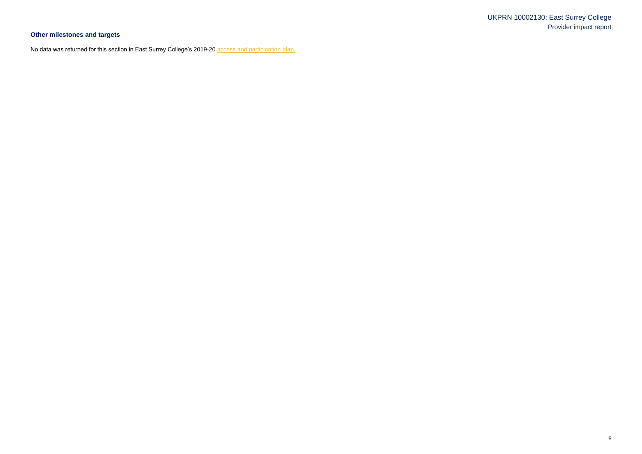## UKPRN 10002130: East Surrey College Provider impact report

# **Other milestones and targets**

No data was returned for this section in East Surrey College's 2019-20 **access and participation plan.**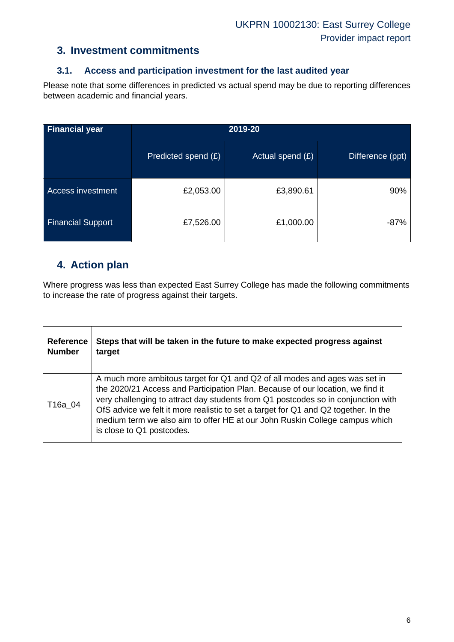### **3. Investment commitments**

#### **3.1. Access and participation investment for the last audited year**

Please note that some differences in predicted vs actual spend may be due to reporting differences between academic and financial years.

| <b>Financial year</b>    | 2019-20             |                    |                  |  |
|--------------------------|---------------------|--------------------|------------------|--|
|                          | Predicted spend (£) | Actual spend $(E)$ | Difference (ppt) |  |
| <b>Access investment</b> | £2,053.00           | £3,890.61          | 90%              |  |
| <b>Financial Support</b> | £7,526.00           | £1,000.00          | $-87%$           |  |

## **4. Action plan**

Where progress was less than expected East Surrey College has made the following commitments to increase the rate of progress against their targets.

| <b>Reference</b> | Steps that will be taken in the future to make expected progress against                                                                                                                                                                                                                                                                                                                                                                             |
|------------------|------------------------------------------------------------------------------------------------------------------------------------------------------------------------------------------------------------------------------------------------------------------------------------------------------------------------------------------------------------------------------------------------------------------------------------------------------|
| <b>Number</b>    | target                                                                                                                                                                                                                                                                                                                                                                                                                                               |
| T16a 04          | A much more ambitous target for Q1 and Q2 of all modes and ages was set in<br>the 2020/21 Access and Participation Plan. Because of our location, we find it<br>very challenging to attract day students from Q1 postcodes so in conjunction with<br>OfS advice we felt it more realistic to set a target for Q1 and Q2 together. In the<br>medium term we also aim to offer HE at our John Ruskin College campus which<br>is close to Q1 postcodes. |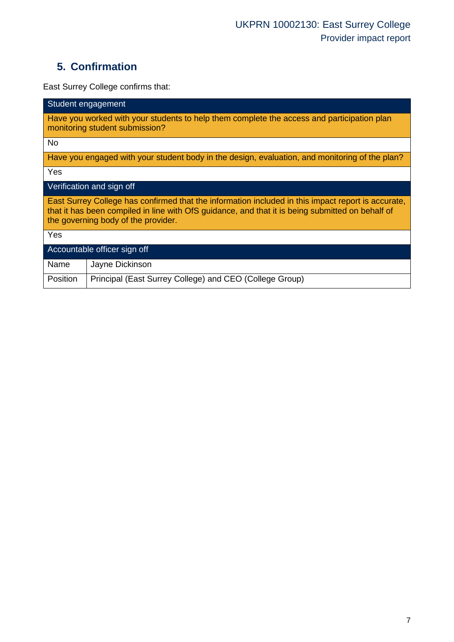# **5. Confirmation**

East Surrey College confirms that:

| Student engagement                                                                                                                                                                                                                            |  |  |  |  |  |
|-----------------------------------------------------------------------------------------------------------------------------------------------------------------------------------------------------------------------------------------------|--|--|--|--|--|
| Have you worked with your students to help them complete the access and participation plan<br>monitoring student submission?                                                                                                                  |  |  |  |  |  |
| <b>No</b>                                                                                                                                                                                                                                     |  |  |  |  |  |
| Have you engaged with your student body in the design, evaluation, and monitoring of the plan?                                                                                                                                                |  |  |  |  |  |
| Yes                                                                                                                                                                                                                                           |  |  |  |  |  |
| Verification and sign off                                                                                                                                                                                                                     |  |  |  |  |  |
| East Surrey College has confirmed that the information included in this impact report is accurate,<br>that it has been compiled in line with OfS guidance, and that it is being submitted on behalf of<br>the governing body of the provider. |  |  |  |  |  |
| Yes                                                                                                                                                                                                                                           |  |  |  |  |  |
| Accountable officer sign off                                                                                                                                                                                                                  |  |  |  |  |  |
| Name<br>Jayne Dickinson                                                                                                                                                                                                                       |  |  |  |  |  |
| Position<br>Principal (East Surrey College) and CEO (College Group)                                                                                                                                                                           |  |  |  |  |  |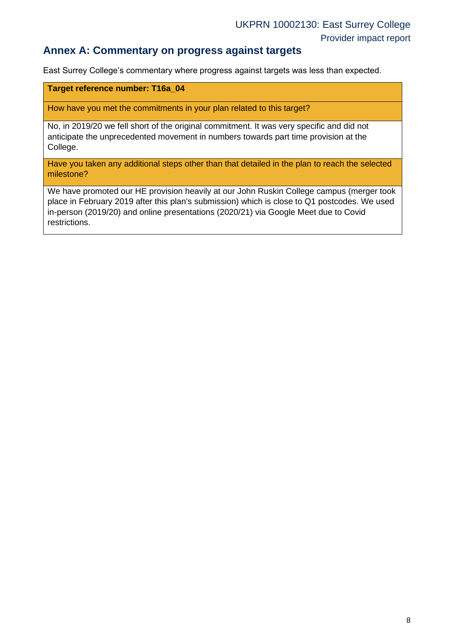#### **Annex A: Commentary on progress against targets**

East Surrey College's commentary where progress against targets was less than expected.

#### **Target reference number: T16a\_04**

How have you met the commitments in your plan related to this target?

No, in 2019/20 we fell short of the original commitment. It was very specific and did not anticipate the unprecedented movement in numbers towards part time provision at the College.

Have you taken any additional steps other than that detailed in the plan to reach the selected milestone?

We have promoted our HE provision heavily at our John Ruskin College campus (merger took place in February 2019 after this plan's submission) which is close to Q1 postcodes. We used in-person (2019/20) and online presentations (2020/21) via Google Meet due to Covid restrictions.